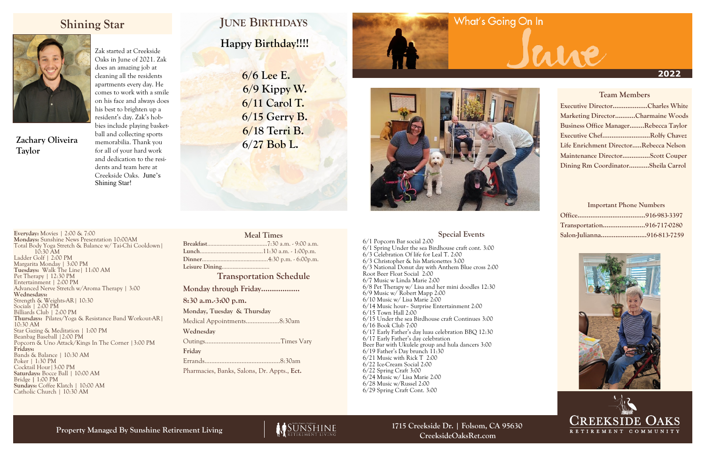### **Property Managed By Sunshine Retirement Living**



### **2022**

## **Shining Star**



**6/6 Lee E. 6/9 Kippy W. 6/11 Carol T. 6/15 Gerry B. 6/18 Terri B. 6/27 Bob L.** 







| Executive DirectorCharles White              |
|----------------------------------------------|
| Marketing DirectorCharmaine Woods            |
| <b>Business Office ManagerRebecca Taylor</b> |
| Executive ChefRolfy Chavez                   |
| Life Enrichment DirectorRebecca Nelson       |
| Maintenance DirectorScott Couper             |
| Dining Rm CoordinatorSheila Carrol           |

## **Important Phone Numbers Office………………..….………….916-983-3397 Transportation…………………..916-717-0280 Salon-Julianna…………………....916-813-7259**





**1715 Creekside Dr. | Folsom, CA 95630 CreeksideOaksRet.com**

# Iture

**Everyday:** Movies | 2:00 & 7:00 **Mondays:** Sunshine News Presentation 10:00AM Total Body Yoga Stretch & Balance w/ Tai-Chi Cooldown| 10:30 AM Ladder Golf | 2:00 PM Margarita Monday | 3:00 PM **Tuesdays:** Walk The Line| 11:00 AM Pet Therapy | 12:30 PM Entertainment | 2:00 PM Advanced Nerve Stretch w/Aroma Therapy | 3:00 **Wednesdays:**  Strength & Weights-AR| 10:30 Socials | 2:00 PM Billiards Club | 2:00 PM **Thursdays:** Pilates/Yoga & Resistance Band Workout-AR| 10:30 AM Star Gazing & Meditation | 1:00 PM Beanbag Baseball |2:00 PM Popcorn & Uno Attack/Kings In The Corner |3:00 PM **Fridays:** Bands & Balance | 10:30 AM Poker | 1:30 PM Cocktail Hour|3:00 PM **Saturdays:** Bocce Ball | 10:00 AM Bridge **|** 1:00 PM **Sundays:** Coffee Klatch | 10:00 AM Catholic Church | 10:30 AM

**Zachary Oliveira Taylor**

## **Happy Birthday!!!! JUNE BIRTHDAYS**

Zak started at Creekside Oaks in June of 2021. Zak does an amazing job at cleaning all the residents apartments every day. He comes to work with a smile on his face and always does his best to brighten up a resident's day. Zak's hobbies include playing basketball and collecting sports memorabilia. Thank you for all of your hard work and dedication to the residents and team here at Creekside Oaks. June's Shining Star!

|                       | <b>Meal Times</b>                           |
|-----------------------|---------------------------------------------|
|                       |                                             |
|                       |                                             |
|                       |                                             |
|                       |                                             |
|                       | <b>Transportation Schedule</b>              |
|                       | Monday through Friday                       |
| $8:30$ a.m.-3:00 p.m. |                                             |
|                       | Monday, Tuesday & Thursday                  |
|                       |                                             |
| Wednesday             |                                             |
|                       |                                             |
| Friday                |                                             |
|                       |                                             |
|                       | Pharmacies, Banks, Salons, Dr. Appts., Ect. |

**Special Events**

6/1 Popcorn Bar social 2:00 6/1 Spring Under the sea Birdhouse craft cont. 3:00 6/3 Celebration Of life for Leal T. 2:00 6/3 Christopher & his Marionettes 3:00 6/3 National Donut day with Anthem Blue cross 2:00 Root Beer Float Social 2:00 6/7 Music w Linda Marie 2:00 6/8 Pet Therapy w/ Lisa and her mini doodles 12:30 6/9 Music w/ Robert Mapp 2:00 6/10 Music w/ Lisa Marie 2:00 6/14 Music hour– Surprise Entertainment 2:00 6/15 Town Hall 2:00 6/15 Under the sea Birdhouse craft Continues 3:00 6/16 Book Club 7:00 6/17 Early Father's day luau celebration BBQ 12:30 6/17 Early Father's day celebration Beer Bar with Ukulele group and hula dancers 3:00 6/19 Father's Day brunch 11:30 6/21 Music with Rick T 2:00 6/22 Ice-Cream Social 2:00 6/22 Spring Craft 3:00 6/24 Music w/ Lisa Marie 2:00 6/28 Music w/Russel 2:00 6/29 Spring Craft Cont. 3:00